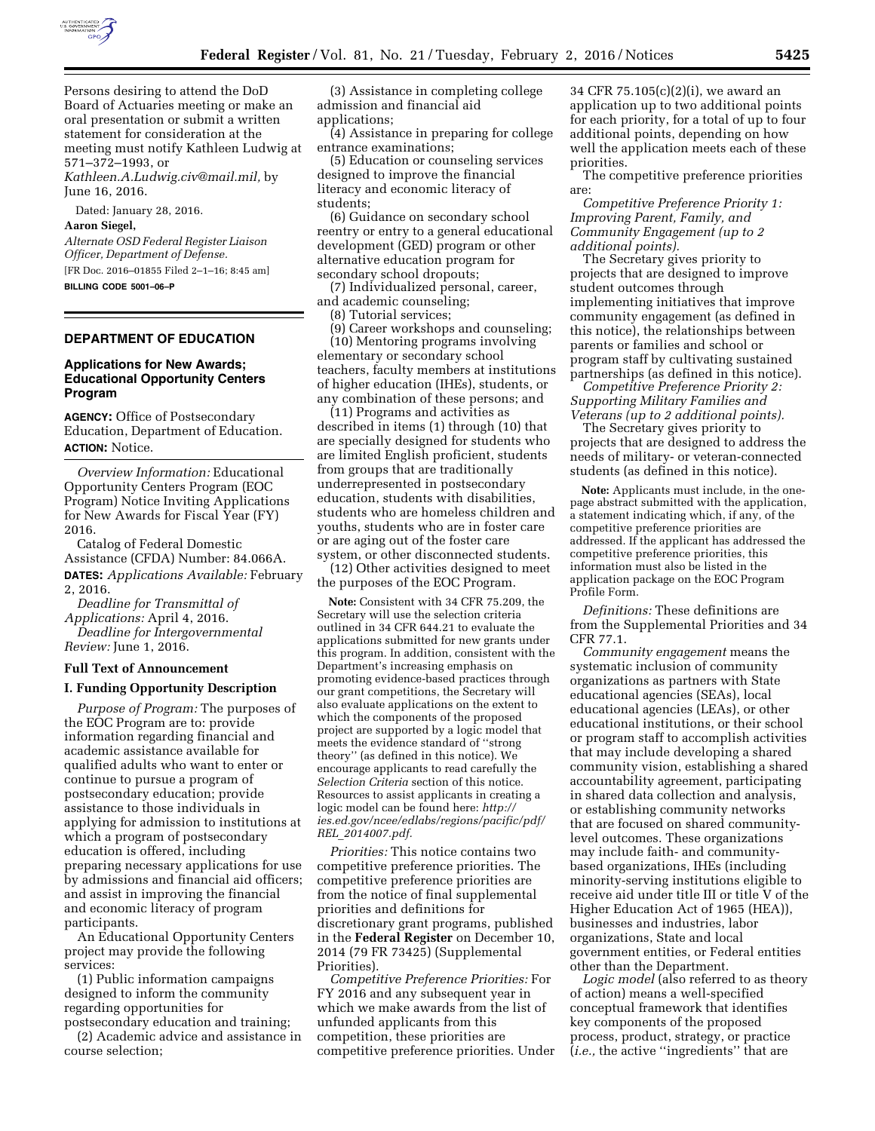

Persons desiring to attend the DoD Board of Actuaries meeting or make an oral presentation or submit a written statement for consideration at the meeting must notify Kathleen Ludwig at 571–372–1993, or

*[Kathleen.A.Ludwig.civ@mail.mil,](mailto:Kathleen.A.Ludwig.civ@mail.mil)* by June 16, 2016.

Dated: January 28, 2016.

## **Aaron Siegel,**

*Alternate OSD Federal Register Liaison Officer, Department of Defense.*  [FR Doc. 2016–01855 Filed 2–1–16; 8:45 am]

**BILLING CODE 5001–06–P** 

# **DEPARTMENT OF EDUCATION**

## **Applications for New Awards; Educational Opportunity Centers Program**

**AGENCY:** Office of Postsecondary Education, Department of Education. **ACTION:** Notice.

*Overview Information:* Educational Opportunity Centers Program (EOC Program) Notice Inviting Applications for New Awards for Fiscal Year (FY) 2016.

Catalog of Federal Domestic Assistance (CFDA) Number: 84.066A. **DATES:** *Applications Available:* February

2, 2016. *Deadline for Transmittal of Applications:* April 4, 2016.

*Deadline for Intergovernmental Review:* June 1, 2016.

## **Full Text of Announcement**

### **I. Funding Opportunity Description**

*Purpose of Program:* The purposes of the EOC Program are to: provide information regarding financial and academic assistance available for qualified adults who want to enter or continue to pursue a program of postsecondary education; provide assistance to those individuals in applying for admission to institutions at which a program of postsecondary education is offered, including preparing necessary applications for use by admissions and financial aid officers; and assist in improving the financial and economic literacy of program participants.

An Educational Opportunity Centers project may provide the following services:

(1) Public information campaigns designed to inform the community regarding opportunities for postsecondary education and training;

(2) Academic advice and assistance in course selection;

(3) Assistance in completing college admission and financial aid applications;

(4) Assistance in preparing for college entrance examinations;

(5) Education or counseling services designed to improve the financial literacy and economic literacy of students;

(6) Guidance on secondary school reentry or entry to a general educational development (GED) program or other alternative education program for secondary school dropouts;

(7) Individualized personal, career, and academic counseling;

(8) Tutorial services;

(9) Career workshops and counseling; (10) Mentoring programs involving elementary or secondary school teachers, faculty members at institutions of higher education (IHEs), students, or any combination of these persons; and

(11) Programs and activities as described in items (1) through (10) that are specially designed for students who are limited English proficient, students from groups that are traditionally underrepresented in postsecondary education, students with disabilities, students who are homeless children and youths, students who are in foster care or are aging out of the foster care system, or other disconnected students.

(12) Other activities designed to meet the purposes of the EOC Program.

**Note:** Consistent with 34 CFR 75.209, the Secretary will use the selection criteria outlined in 34 CFR 644.21 to evaluate the applications submitted for new grants under this program. In addition, consistent with the Department's increasing emphasis on promoting evidence-based practices through our grant competitions, the Secretary will also evaluate applications on the extent to which the components of the proposed project are supported by a logic model that meets the evidence standard of ''strong theory'' (as defined in this notice). We encourage applicants to read carefully the *Selection Criteria* section of this notice. Resources to assist applicants in creating a logic model can be found here: *[http://](http://ies.ed.gov/ncee/edlabs/regions/pacific/pdf/REL_2014007.pdf) [ies.ed.gov/ncee/edlabs/regions/pacific/pdf/](http://ies.ed.gov/ncee/edlabs/regions/pacific/pdf/REL_2014007.pdf) REL*\_*[2014007.pdf.](http://ies.ed.gov/ncee/edlabs/regions/pacific/pdf/REL_2014007.pdf)* 

*Priorities:* This notice contains two competitive preference priorities. The competitive preference priorities are from the notice of final supplemental priorities and definitions for discretionary grant programs, published in the **Federal Register** on December 10, 2014 (79 FR 73425) (Supplemental Priorities).

*Competitive Preference Priorities:* For FY 2016 and any subsequent year in which we make awards from the list of unfunded applicants from this competition, these priorities are competitive preference priorities. Under

34 CFR 75.105(c)(2)(i), we award an application up to two additional points for each priority, for a total of up to four additional points, depending on how well the application meets each of these priorities.

The competitive preference priorities are:

*Competitive Preference Priority 1: Improving Parent, Family, and Community Engagement (up to 2 additional points).* 

The Secretary gives priority to projects that are designed to improve student outcomes through implementing initiatives that improve community engagement (as defined in this notice), the relationships between parents or families and school or program staff by cultivating sustained partnerships (as defined in this notice).

*Competitive Preference Priority 2: Supporting Military Families and Veterans (up to 2 additional points).* 

The Secretary gives priority to projects that are designed to address the needs of military- or veteran-connected students (as defined in this notice).

**Note:** Applicants must include, in the onepage abstract submitted with the application, a statement indicating which, if any, of the competitive preference priorities are addressed. If the applicant has addressed the competitive preference priorities, this information must also be listed in the application package on the EOC Program Profile Form.

*Definitions:* These definitions are from the Supplemental Priorities and 34 CFR 77.1.

*Community engagement* means the systematic inclusion of community organizations as partners with State educational agencies (SEAs), local educational agencies (LEAs), or other educational institutions, or their school or program staff to accomplish activities that may include developing a shared community vision, establishing a shared accountability agreement, participating in shared data collection and analysis, or establishing community networks that are focused on shared communitylevel outcomes. These organizations may include faith- and communitybased organizations, IHEs (including minority-serving institutions eligible to receive aid under title III or title V of the Higher Education Act of 1965 (HEA)), businesses and industries, labor organizations, State and local government entities, or Federal entities other than the Department.

*Logic model* (also referred to as theory of action) means a well-specified conceptual framework that identifies key components of the proposed process, product, strategy, or practice (*i.e.,* the active ''ingredients'' that are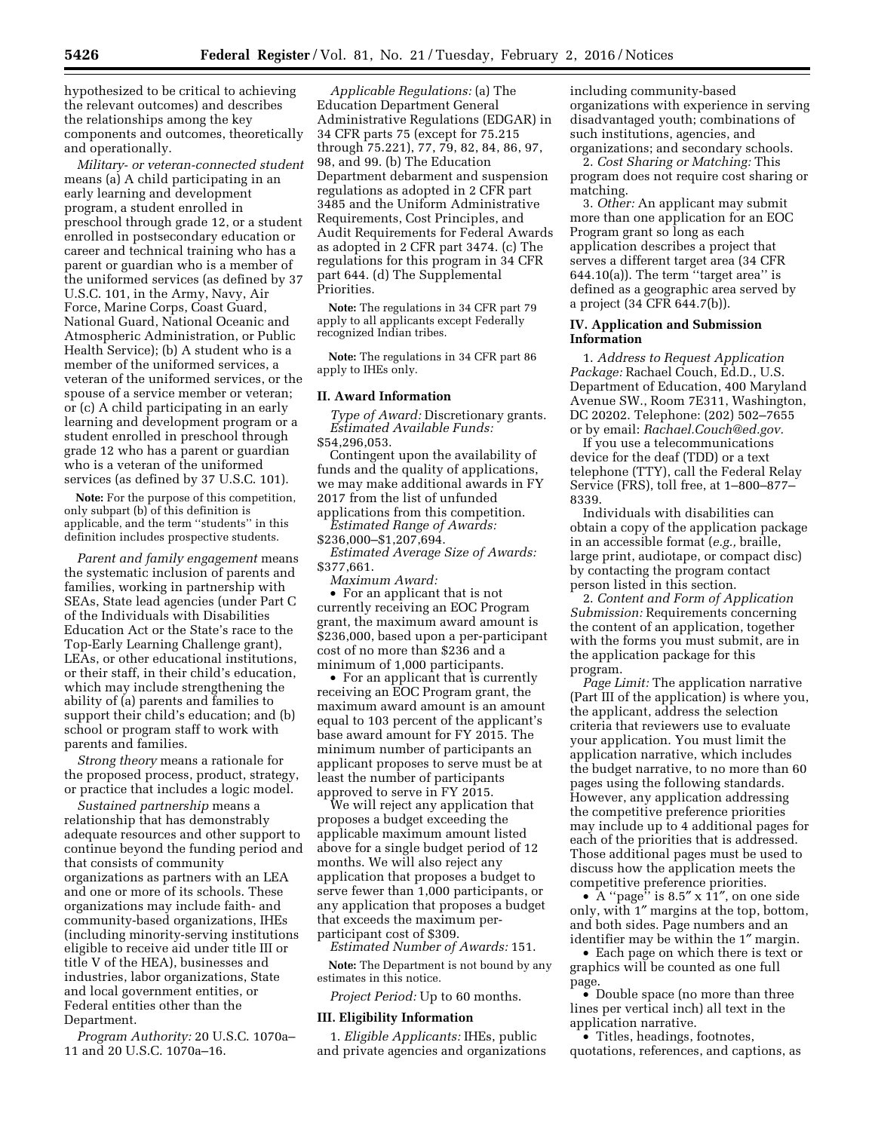hypothesized to be critical to achieving the relevant outcomes) and describes the relationships among the key components and outcomes, theoretically and operationally.

*Military- or veteran-connected student*  means (a) A child participating in an early learning and development program, a student enrolled in preschool through grade 12, or a student enrolled in postsecondary education or career and technical training who has a parent or guardian who is a member of the uniformed services (as defined by 37 U.S.C. 101, in the Army, Navy, Air Force, Marine Corps, Coast Guard, National Guard, National Oceanic and Atmospheric Administration, or Public Health Service); (b) A student who is a member of the uniformed services, a veteran of the uniformed services, or the spouse of a service member or veteran; or (c) A child participating in an early learning and development program or a student enrolled in preschool through grade 12 who has a parent or guardian who is a veteran of the uniformed services (as defined by 37 U.S.C. 101).

**Note:** For the purpose of this competition, only subpart (b) of this definition is applicable, and the term ''students'' in this definition includes prospective students.

*Parent and family engagement* means the systematic inclusion of parents and families, working in partnership with SEAs, State lead agencies (under Part C of the Individuals with Disabilities Education Act or the State's race to the Top-Early Learning Challenge grant), LEAs, or other educational institutions, or their staff, in their child's education, which may include strengthening the ability of (a) parents and families to support their child's education; and (b) school or program staff to work with parents and families.

*Strong theory* means a rationale for the proposed process, product, strategy, or practice that includes a logic model.

*Sustained partnership* means a relationship that has demonstrably adequate resources and other support to continue beyond the funding period and that consists of community organizations as partners with an LEA and one or more of its schools. These organizations may include faith- and community-based organizations, IHEs (including minority-serving institutions eligible to receive aid under title III or title V of the HEA), businesses and industries, labor organizations, State and local government entities, or Federal entities other than the Department.

*Program Authority:* 20 U.S.C. 1070a– 11 and 20 U.S.C. 1070a–16.

*Applicable Regulations:* (a) The Education Department General Administrative Regulations (EDGAR) in 34 CFR parts 75 (except for 75.215 through 75.221), 77, 79, 82, 84, 86, 97, 98, and 99. (b) The Education Department debarment and suspension regulations as adopted in 2 CFR part 3485 and the Uniform Administrative Requirements, Cost Principles, and Audit Requirements for Federal Awards as adopted in 2 CFR part 3474. (c) The regulations for this program in 34 CFR part 644. (d) The Supplemental Priorities.

**Note:** The regulations in 34 CFR part 79 apply to all applicants except Federally recognized Indian tribes.

**Note:** The regulations in 34 CFR part 86 apply to IHEs only.

### **II. Award Information**

*Type of Award:* Discretionary grants. *Estimated Available Funds:*  \$54,296,053.

Contingent upon the availability of funds and the quality of applications, we may make additional awards in FY 2017 from the list of unfunded applications from this competition.

*Estimated Range of Awards:*  \$236,000–\$1,207,694.

*Estimated Average Size of Awards:*  \$377,661.

*Maximum Award:* 

• For an applicant that is not currently receiving an EOC Program grant, the maximum award amount is \$236,000, based upon a per-participant cost of no more than \$236 and a minimum of 1,000 participants.

• For an applicant that is currently receiving an EOC Program grant, the maximum award amount is an amount equal to 103 percent of the applicant's base award amount for FY 2015. The minimum number of participants an applicant proposes to serve must be at least the number of participants approved to serve in FY 2015.

We will reject any application that proposes a budget exceeding the applicable maximum amount listed above for a single budget period of 12 months. We will also reject any application that proposes a budget to serve fewer than 1,000 participants, or any application that proposes a budget that exceeds the maximum perparticipant cost of \$309.

*Estimated Number of Awards:* 151.

**Note:** The Department is not bound by any estimates in this notice.

*Project Period:* Up to 60 months.

#### **III. Eligibility Information**

1. *Eligible Applicants:* IHEs, public and private agencies and organizations including community-based organizations with experience in serving disadvantaged youth; combinations of such institutions, agencies, and organizations; and secondary schools.

2. *Cost Sharing or Matching:* This program does not require cost sharing or matching.

3. *Other:* An applicant may submit more than one application for an EOC Program grant so long as each application describes a project that serves a different target area (34 CFR  $644.10(a)$ ). The term "target area" is defined as a geographic area served by a project (34 CFR 644.7(b)).

## **IV. Application and Submission Information**

1. *Address to Request Application Package:* Rachael Couch, Ed.D., U.S. Department of Education, 400 Maryland Avenue SW., Room 7E311, Washington, DC 20202. Telephone: (202) 502–7655 or by email: *[Rachael.Couch@ed.gov.](mailto:Rachael.Couch@ed.gov)* 

If you use a telecommunications device for the deaf (TDD) or a text telephone (TTY), call the Federal Relay Service (FRS), toll free, at 1–800–877– 8339.

Individuals with disabilities can obtain a copy of the application package in an accessible format (*e.g.,* braille, large print, audiotape, or compact disc) by contacting the program contact person listed in this section.

2. *Content and Form of Application Submission:* Requirements concerning the content of an application, together with the forms you must submit, are in the application package for this program.

*Page Limit:* The application narrative (Part III of the application) is where you, the applicant, address the selection criteria that reviewers use to evaluate your application. You must limit the application narrative, which includes the budget narrative, to no more than 60 pages using the following standards. However, any application addressing the competitive preference priorities may include up to 4 additional pages for each of the priorities that is addressed. Those additional pages must be used to discuss how the application meets the competitive preference priorities.

• A ''page'' is 8.5″ x 11″, on one side only, with 1″ margins at the top, bottom, and both sides. Page numbers and an identifier may be within the 1″ margin.

• Each page on which there is text or graphics will be counted as one full page.

• Double space (no more than three lines per vertical inch) all text in the application narrative.

• Titles, headings, footnotes, quotations, references, and captions, as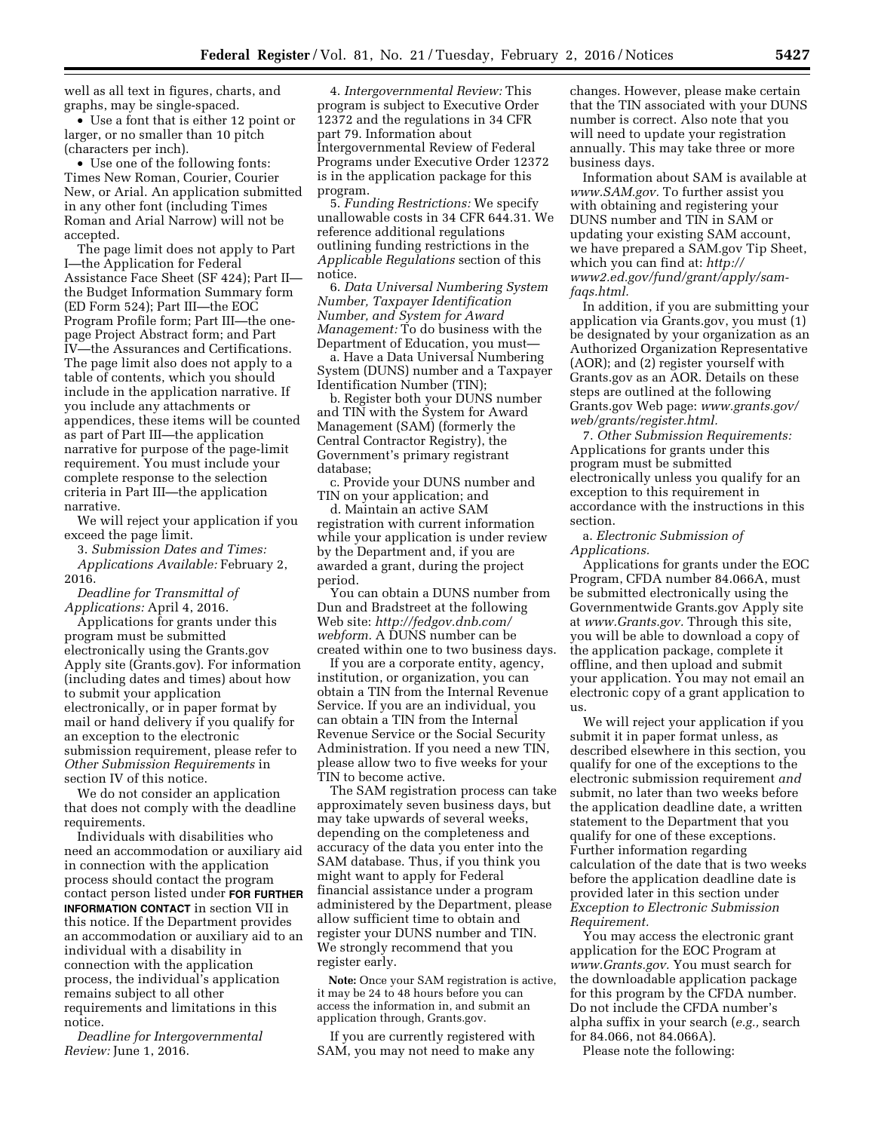well as all text in figures, charts, and graphs, may be single-spaced.

• Use a font that is either 12 point or larger, or no smaller than 10 pitch (characters per inch).

• Use one of the following fonts: Times New Roman, Courier, Courier New, or Arial. An application submitted in any other font (including Times Roman and Arial Narrow) will not be accepted.

The page limit does not apply to Part I—the Application for Federal Assistance Face Sheet (SF 424); Part II the Budget Information Summary form (ED Form 524); Part III—the EOC Program Profile form; Part III—the onepage Project Abstract form; and Part IV—the Assurances and Certifications. The page limit also does not apply to a table of contents, which you should include in the application narrative. If you include any attachments or appendices, these items will be counted as part of Part III—the application narrative for purpose of the page-limit requirement. You must include your complete response to the selection criteria in Part III—the application narrative.

We will reject your application if you exceed the page limit.

3. *Submission Dates and Times: Applications Available:* February 2, 2016.

*Deadline for Transmittal of Applications:* April 4, 2016.

Applications for grants under this program must be submitted electronically using the Grants.gov Apply site (Grants.gov). For information (including dates and times) about how to submit your application electronically, or in paper format by mail or hand delivery if you qualify for an exception to the electronic submission requirement, please refer to *Other Submission Requirements* in section IV of this notice.

We do not consider an application that does not comply with the deadline requirements.

Individuals with disabilities who need an accommodation or auxiliary aid in connection with the application process should contact the program contact person listed under **FOR FURTHER INFORMATION CONTACT** in section VII in this notice. If the Department provides an accommodation or auxiliary aid to an individual with a disability in connection with the application process, the individual's application remains subject to all other requirements and limitations in this notice.

*Deadline for Intergovernmental Review:* June 1, 2016.

4. *Intergovernmental Review:* This program is subject to Executive Order 12372 and the regulations in 34 CFR part 79. Information about Intergovernmental Review of Federal Programs under Executive Order 12372 is in the application package for this program.

5. *Funding Restrictions:* We specify unallowable costs in 34 CFR 644.31. We reference additional regulations outlining funding restrictions in the *Applicable Regulations* section of this notice.

6. *Data Universal Numbering System Number, Taxpayer Identification Number, and System for Award Management:* To do business with the Department of Education, you must—

a. Have a Data Universal Numbering System (DUNS) number and a Taxpayer Identification Number (TIN);

b. Register both your DUNS number and TIN with the System for Award Management (SAM) (formerly the Central Contractor Registry), the Government's primary registrant database;

c. Provide your DUNS number and TIN on your application; and

d. Maintain an active SAM registration with current information while your application is under review by the Department and, if you are awarded a grant, during the project period.

You can obtain a DUNS number from Dun and Bradstreet at the following Web site: *[http://fedgov.dnb.com/](http://fedgov.dnb.com/webform) [webform.](http://fedgov.dnb.com/webform)* A DUNS number can be created within one to two business days.

If you are a corporate entity, agency, institution, or organization, you can obtain a TIN from the Internal Revenue Service. If you are an individual, you can obtain a TIN from the Internal Revenue Service or the Social Security Administration. If you need a new TIN, please allow two to five weeks for your TIN to become active.

The SAM registration process can take approximately seven business days, but may take upwards of several weeks, depending on the completeness and accuracy of the data you enter into the SAM database. Thus, if you think you might want to apply for Federal financial assistance under a program administered by the Department, please allow sufficient time to obtain and register your DUNS number and TIN. We strongly recommend that you register early.

**Note:** Once your SAM registration is active, it may be 24 to 48 hours before you can access the information in, and submit an application through, Grants.gov.

If you are currently registered with SAM, you may not need to make any changes. However, please make certain that the TIN associated with your DUNS number is correct. Also note that you will need to update your registration annually. This may take three or more business days.

Information about SAM is available at *[www.SAM.gov.](http://www.SAM.gov)* To further assist you with obtaining and registering your DUNS number and TIN in SAM or updating your existing SAM account, we have prepared a SAM.gov Tip Sheet, which you can find at: *[http://](http://www2.ed.gov/fund/grant/apply/sam-faqs.html) [www2.ed.gov/fund/grant/apply/sam](http://www2.ed.gov/fund/grant/apply/sam-faqs.html)[faqs.html.](http://www2.ed.gov/fund/grant/apply/sam-faqs.html)* 

In addition, if you are submitting your application via Grants.gov, you must (1) be designated by your organization as an Authorized Organization Representative (AOR); and (2) register yourself with Grants.gov as an AOR. Details on these steps are outlined at the following Grants.gov Web page: *[www.grants.gov/](http://www.grants.gov/web/grants/register.html) [web/grants/register.html.](http://www.grants.gov/web/grants/register.html)* 

7. *Other Submission Requirements:*  Applications for grants under this program must be submitted electronically unless you qualify for an exception to this requirement in accordance with the instructions in this section.

a. *Electronic Submission of Applications.* 

Applications for grants under the EOC Program, CFDA number 84.066A, must be submitted electronically using the Governmentwide Grants.gov Apply site at *[www.Grants.gov.](http://www.Grants.gov)* Through this site, you will be able to download a copy of the application package, complete it offline, and then upload and submit your application. You may not email an electronic copy of a grant application to us.

We will reject your application if you submit it in paper format unless, as described elsewhere in this section, you qualify for one of the exceptions to the electronic submission requirement *and*  submit, no later than two weeks before the application deadline date, a written statement to the Department that you qualify for one of these exceptions. Further information regarding calculation of the date that is two weeks before the application deadline date is provided later in this section under *Exception to Electronic Submission Requirement.* 

You may access the electronic grant application for the EOC Program at *[www.Grants.gov.](http://www.Grants.gov)* You must search for the downloadable application package for this program by the CFDA number. Do not include the CFDA number's alpha suffix in your search (*e.g.,* search for 84.066, not 84.066A).

Please note the following: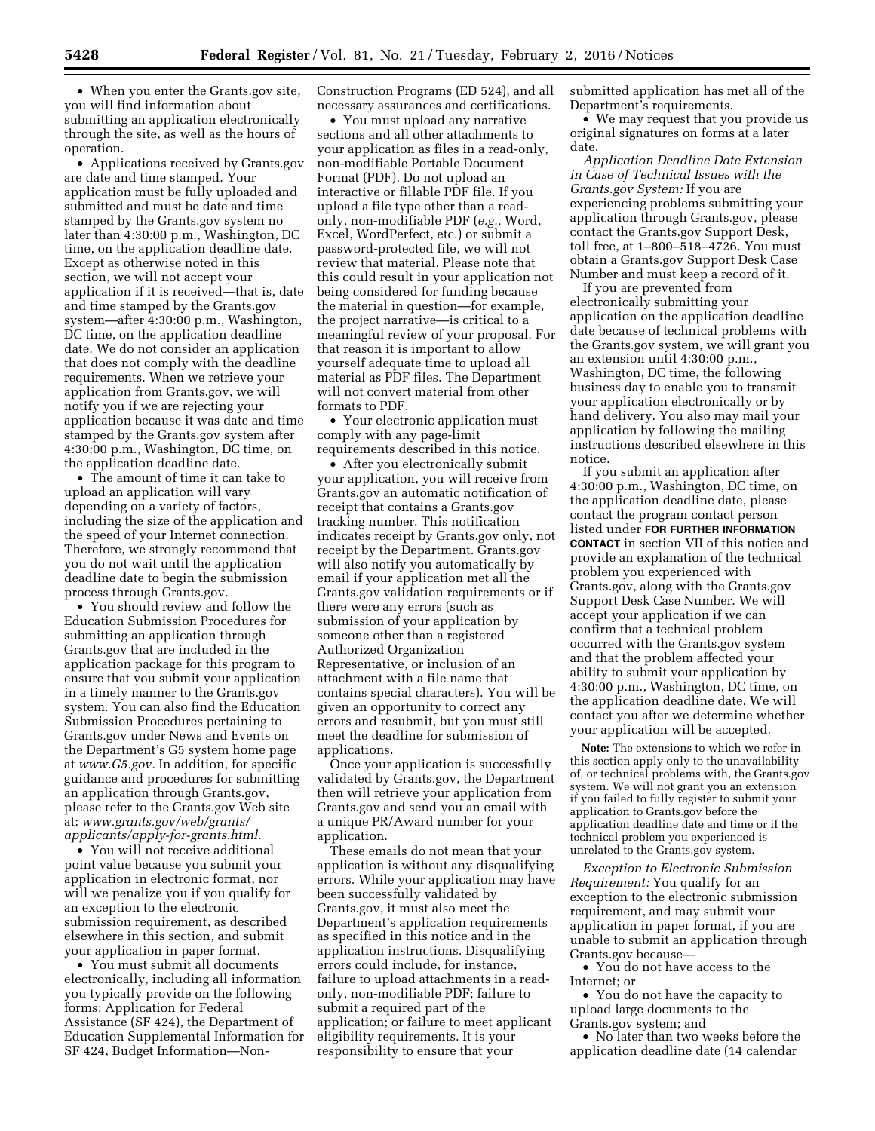• When you enter the Grants.gov site, you will find information about submitting an application electronically through the site, as well as the hours of operation.

• Applications received by Grants.gov are date and time stamped. Your application must be fully uploaded and submitted and must be date and time stamped by the Grants.gov system no later than 4:30:00 p.m., Washington, DC time, on the application deadline date. Except as otherwise noted in this section, we will not accept your application if it is received—that is, date and time stamped by the Grants.gov system—after 4:30:00 p.m., Washington, DC time, on the application deadline date. We do not consider an application that does not comply with the deadline requirements. When we retrieve your application from Grants.gov, we will notify you if we are rejecting your application because it was date and time stamped by the Grants.gov system after 4:30:00 p.m., Washington, DC time, on the application deadline date.

• The amount of time it can take to upload an application will vary depending on a variety of factors, including the size of the application and the speed of your Internet connection. Therefore, we strongly recommend that you do not wait until the application deadline date to begin the submission process through Grants.gov.

• You should review and follow the Education Submission Procedures for submitting an application through Grants.gov that are included in the application package for this program to ensure that you submit your application in a timely manner to the Grants.gov system. You can also find the Education Submission Procedures pertaining to Grants.gov under News and Events on the Department's G5 system home page at *[www.G5.gov.](http://www.G5.gov)* In addition, for specific guidance and procedures for submitting an application through Grants.gov, please refer to the Grants.gov Web site at: *[www.grants.gov/web/grants/](http://www.grants.gov/web/grants/applicants/apply-for-grants.html) [applicants/apply-for-grants.html.](http://www.grants.gov/web/grants/applicants/apply-for-grants.html)* 

• You will not receive additional point value because you submit your application in electronic format, nor will we penalize you if you qualify for an exception to the electronic submission requirement, as described elsewhere in this section, and submit your application in paper format.

• You must submit all documents electronically, including all information you typically provide on the following forms: Application for Federal Assistance (SF 424), the Department of Education Supplemental Information for SF 424, Budget Information—NonConstruction Programs (ED 524), and all necessary assurances and certifications.

• You must upload any narrative sections and all other attachments to your application as files in a read-only, non-modifiable Portable Document Format (PDF). Do not upload an interactive or fillable PDF file. If you upload a file type other than a readonly, non-modifiable PDF (*e.g.,* Word, Excel, WordPerfect, etc.) or submit a password-protected file, we will not review that material. Please note that this could result in your application not being considered for funding because the material in question—for example, the project narrative—is critical to a meaningful review of your proposal. For that reason it is important to allow yourself adequate time to upload all material as PDF files. The Department will not convert material from other formats to PDF.

• Your electronic application must comply with any page-limit requirements described in this notice.

• After you electronically submit your application, you will receive from Grants.gov an automatic notification of receipt that contains a Grants.gov tracking number. This notification indicates receipt by Grants.gov only, not receipt by the Department. Grants.gov will also notify you automatically by email if your application met all the Grants.gov validation requirements or if there were any errors (such as submission of your application by someone other than a registered Authorized Organization Representative, or inclusion of an attachment with a file name that contains special characters). You will be given an opportunity to correct any errors and resubmit, but you must still meet the deadline for submission of applications.

Once your application is successfully validated by Grants.gov, the Department then will retrieve your application from Grants.gov and send you an email with a unique PR/Award number for your application.

These emails do not mean that your application is without any disqualifying errors. While your application may have been successfully validated by Grants.gov, it must also meet the Department's application requirements as specified in this notice and in the application instructions. Disqualifying errors could include, for instance, failure to upload attachments in a readonly, non-modifiable PDF; failure to submit a required part of the application; or failure to meet applicant eligibility requirements. It is your responsibility to ensure that your

submitted application has met all of the Department's requirements.

• We may request that you provide us original signatures on forms at a later date.

*Application Deadline Date Extension in Case of Technical Issues with the Grants.gov System:* If you are experiencing problems submitting your application through Grants.gov, please contact the Grants.gov Support Desk, toll free, at 1–800–518–4726. You must obtain a Grants.gov Support Desk Case Number and must keep a record of it.

If you are prevented from electronically submitting your application on the application deadline date because of technical problems with the Grants.gov system, we will grant you an extension until 4:30:00 p.m., Washington, DC time, the following business day to enable you to transmit your application electronically or by hand delivery. You also may mail your application by following the mailing instructions described elsewhere in this notice.

If you submit an application after 4:30:00 p.m., Washington, DC time, on the application deadline date, please contact the program contact person listed under **FOR FURTHER INFORMATION CONTACT** in section VII of this notice and provide an explanation of the technical problem you experienced with Grants.gov, along with the Grants.gov Support Desk Case Number. We will accept your application if we can confirm that a technical problem occurred with the Grants.gov system and that the problem affected your ability to submit your application by 4:30:00 p.m., Washington, DC time, on the application deadline date. We will contact you after we determine whether your application will be accepted.

**Note:** The extensions to which we refer in this section apply only to the unavailability of, or technical problems with, the Grants.gov system. We will not grant you an extension if you failed to fully register to submit your application to Grants.gov before the application deadline date and time or if the technical problem you experienced is unrelated to the Grants.gov system.

*Exception to Electronic Submission Requirement:* You qualify for an exception to the electronic submission requirement, and may submit your application in paper format, if you are unable to submit an application through Grants.gov because—

• You do not have access to the Internet; or

• You do not have the capacity to upload large documents to the Grants.gov system; and

• No later than two weeks before the application deadline date (14 calendar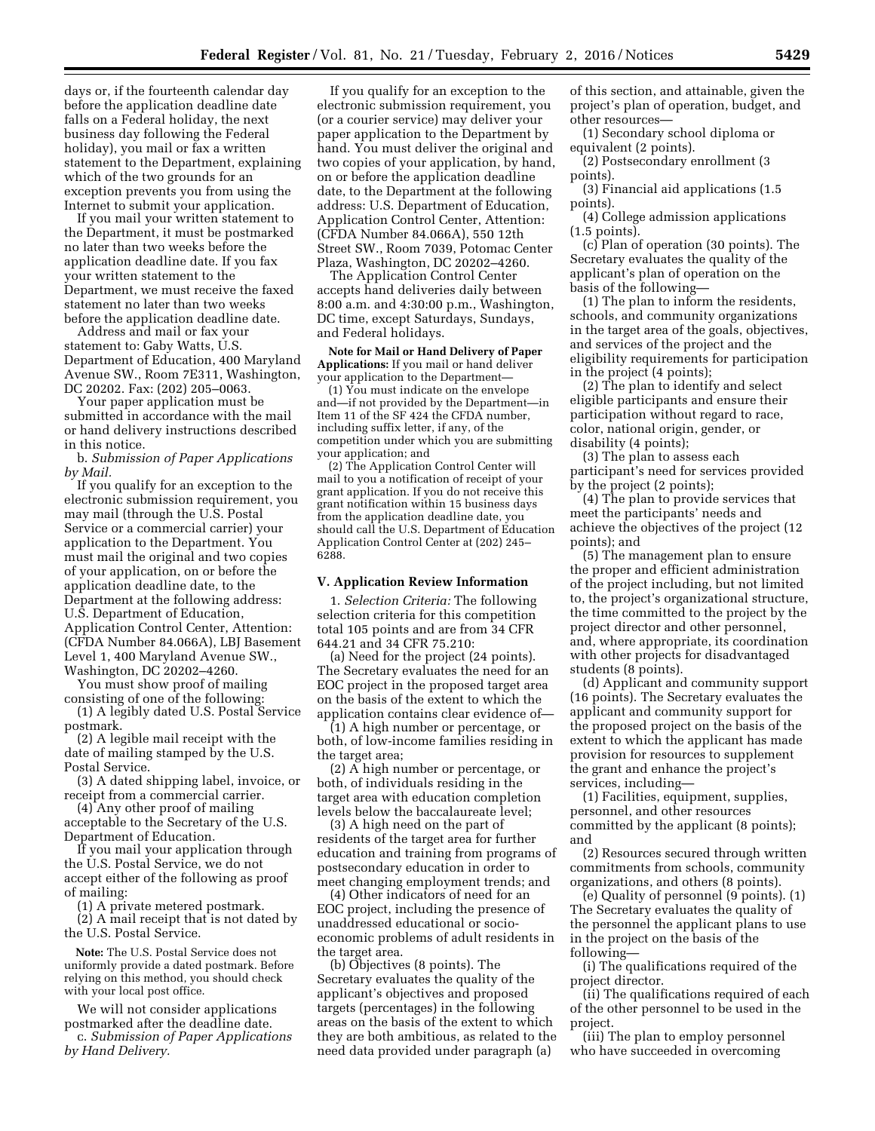days or, if the fourteenth calendar day before the application deadline date falls on a Federal holiday, the next business day following the Federal holiday), you mail or fax a written statement to the Department, explaining which of the two grounds for an exception prevents you from using the Internet to submit your application.

If you mail your written statement to the Department, it must be postmarked no later than two weeks before the application deadline date. If you fax your written statement to the Department, we must receive the faxed statement no later than two weeks before the application deadline date.

Address and mail or fax your statement to: Gaby Watts, U.S. Department of Education, 400 Maryland Avenue SW., Room 7E311, Washington, DC 20202. Fax: (202) 205–0063.

Your paper application must be submitted in accordance with the mail or hand delivery instructions described in this notice.

b. *Submission of Paper Applications by Mail.* 

If you qualify for an exception to the electronic submission requirement, you may mail (through the U.S. Postal Service or a commercial carrier) your application to the Department. You must mail the original and two copies of your application, on or before the application deadline date, to the Department at the following address: U.S. Department of Education, Application Control Center, Attention: (CFDA Number 84.066A), LBJ Basement Level 1, 400 Maryland Avenue SW., Washington, DC 20202–4260.

You must show proof of mailing consisting of one of the following:

(1) A legibly dated U.S. Postal Service postmark.

(2) A legible mail receipt with the date of mailing stamped by the U.S. Postal Service.

(3) A dated shipping label, invoice, or receipt from a commercial carrier.

(4) Any other proof of mailing acceptable to the Secretary of the U.S. Department of Education.

If you mail your application through the U.S. Postal Service, we do not accept either of the following as proof of mailing:

(1) A private metered postmark. (2) A mail receipt that is not dated by the U.S. Postal Service.

**Note:** The U.S. Postal Service does not uniformly provide a dated postmark. Before relying on this method, you should check with your local post office.

We will not consider applications postmarked after the deadline date. c. *Submission of Paper Applications by Hand Delivery.* 

If you qualify for an exception to the electronic submission requirement, you (or a courier service) may deliver your paper application to the Department by hand. You must deliver the original and two copies of your application, by hand, on or before the application deadline date, to the Department at the following address: U.S. Department of Education, Application Control Center, Attention: (CFDA Number 84.066A), 550 12th Street SW., Room 7039, Potomac Center Plaza, Washington, DC 20202–4260.

The Application Control Center accepts hand deliveries daily between 8:00 a.m. and 4:30:00 p.m., Washington, DC time, except Saturdays, Sundays, and Federal holidays.

**Note for Mail or Hand Delivery of Paper Applications:** If you mail or hand deliver your application to the Department—

(1) You must indicate on the envelope and—if not provided by the Department—in Item 11 of the SF 424 the CFDA number, including suffix letter, if any, of the competition under which you are submitting your application; and

(2) The Application Control Center will mail to you a notification of receipt of your grant application. If you do not receive this grant notification within 15 business days from the application deadline date, you should call the U.S. Department of Education Application Control Center at (202) 245– 6288.

#### **V. Application Review Information**

1. *Selection Criteria:* The following selection criteria for this competition total 105 points and are from 34 CFR 644.21 and 34 CFR 75.210:

(a) Need for the project (24 points). The Secretary evaluates the need for an EOC project in the proposed target area on the basis of the extent to which the application contains clear evidence of—

(1) A high number or percentage, or both, of low-income families residing in the target area;

(2) A high number or percentage, or both, of individuals residing in the target area with education completion levels below the baccalaureate level;

(3) A high need on the part of residents of the target area for further education and training from programs of postsecondary education in order to meet changing employment trends; and

(4) Other indicators of need for an EOC project, including the presence of unaddressed educational or socioeconomic problems of adult residents in the target area.

(b) Objectives (8 points). The Secretary evaluates the quality of the applicant's objectives and proposed targets (percentages) in the following areas on the basis of the extent to which they are both ambitious, as related to the need data provided under paragraph (a)

of this section, and attainable, given the project's plan of operation, budget, and other resources—

(1) Secondary school diploma or equivalent (2 points).

(2) Postsecondary enrollment (3 points).

(3) Financial aid applications (1.5 points).

(4) College admission applications  $(1.5 \text{ points})$ 

(c) Plan of operation (30 points). The Secretary evaluates the quality of the applicant's plan of operation on the basis of the following—

(1) The plan to inform the residents, schools, and community organizations in the target area of the goals, objectives, and services of the project and the eligibility requirements for participation in the project (4 points);

(2) The plan to identify and select eligible participants and ensure their participation without regard to race, color, national origin, gender, or disability (4 points);

(3) The plan to assess each participant's need for services provided by the project (2 points);

(4) The plan to provide services that meet the participants' needs and achieve the objectives of the project (12 points); and

(5) The management plan to ensure the proper and efficient administration of the project including, but not limited to, the project's organizational structure, the time committed to the project by the project director and other personnel, and, where appropriate, its coordination with other projects for disadvantaged students (8 points).

(d) Applicant and community support (16 points). The Secretary evaluates the applicant and community support for the proposed project on the basis of the extent to which the applicant has made provision for resources to supplement the grant and enhance the project's services, including—

(1) Facilities, equipment, supplies, personnel, and other resources committed by the applicant (8 points); and

(2) Resources secured through written commitments from schools, community organizations, and others (8 points).

(e) Quality of personnel (9 points). (1) The Secretary evaluates the quality of the personnel the applicant plans to use in the project on the basis of the following—

(i) The qualifications required of the project director.

(ii) The qualifications required of each of the other personnel to be used in the project.

(iii) The plan to employ personnel who have succeeded in overcoming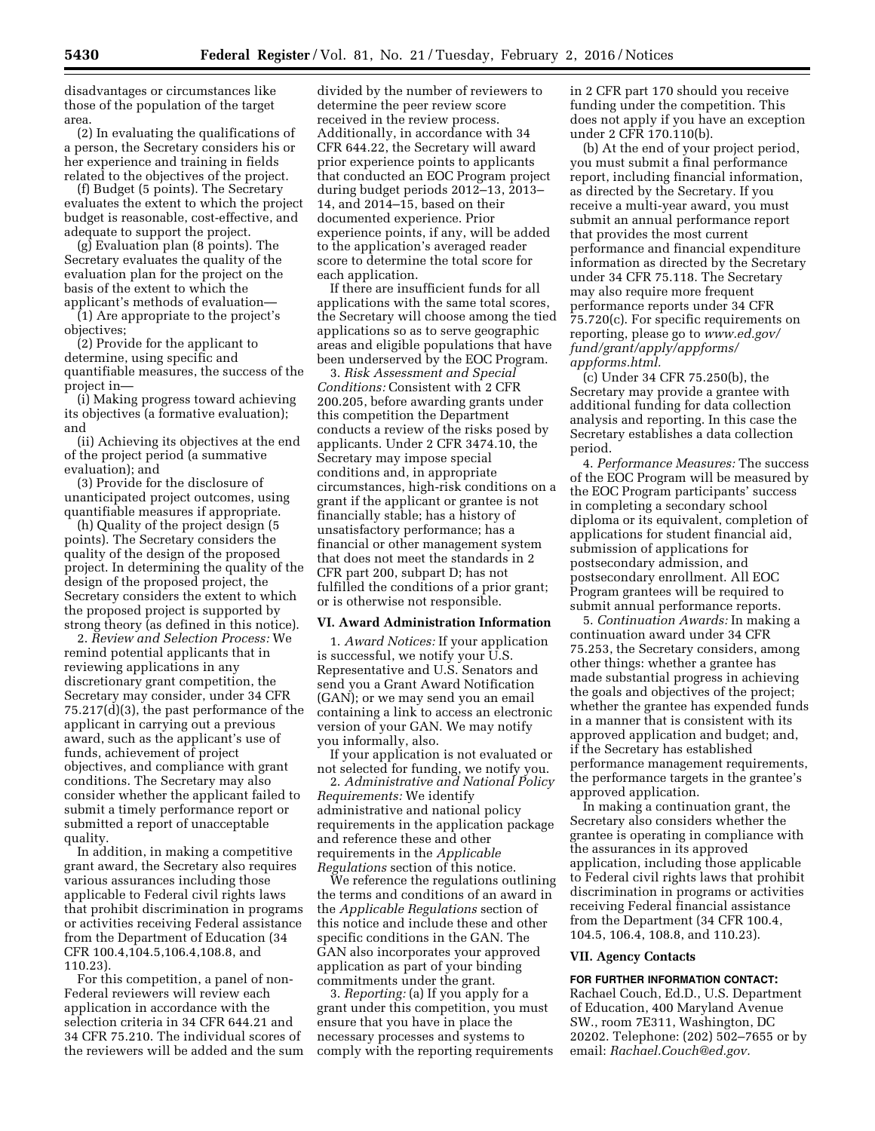disadvantages or circumstances like those of the population of the target area.

(2) In evaluating the qualifications of a person, the Secretary considers his or her experience and training in fields related to the objectives of the project.

(f) Budget (5 points). The Secretary evaluates the extent to which the project budget is reasonable, cost-effective, and adequate to support the project.

(g) Evaluation plan (8 points). The Secretary evaluates the quality of the evaluation plan for the project on the basis of the extent to which the applicant's methods of evaluation—

(1) Are appropriate to the project's objectives;

(2) Provide for the applicant to determine, using specific and quantifiable measures, the success of the project in—

(i) Making progress toward achieving its objectives (a formative evaluation); and

(ii) Achieving its objectives at the end of the project period (a summative evaluation); and

(3) Provide for the disclosure of unanticipated project outcomes, using quantifiable measures if appropriate.

(h) Quality of the project design (5 points). The Secretary considers the quality of the design of the proposed project. In determining the quality of the design of the proposed project, the Secretary considers the extent to which the proposed project is supported by strong theory (as defined in this notice).

2. *Review and Selection Process:* We remind potential applicants that in reviewing applications in any discretionary grant competition, the Secretary may consider, under 34 CFR 75.217(d)(3), the past performance of the applicant in carrying out a previous award, such as the applicant's use of funds, achievement of project objectives, and compliance with grant conditions. The Secretary may also consider whether the applicant failed to submit a timely performance report or submitted a report of unacceptable quality.

In addition, in making a competitive grant award, the Secretary also requires various assurances including those applicable to Federal civil rights laws that prohibit discrimination in programs or activities receiving Federal assistance from the Department of Education (34 CFR 100.4,104.5,106.4,108.8, and 110.23).

For this competition, a panel of non-Federal reviewers will review each application in accordance with the selection criteria in 34 CFR 644.21 and 34 CFR 75.210. The individual scores of the reviewers will be added and the sum

divided by the number of reviewers to determine the peer review score received in the review process. Additionally, in accordance with 34 CFR 644.22, the Secretary will award prior experience points to applicants that conducted an EOC Program project during budget periods 2012–13, 2013– 14, and 2014–15, based on their documented experience. Prior experience points, if any, will be added to the application's averaged reader score to determine the total score for each application.

If there are insufficient funds for all applications with the same total scores, the Secretary will choose among the tied applications so as to serve geographic areas and eligible populations that have been underserved by the EOC Program.

3. *Risk Assessment and Special Conditions:* Consistent with 2 CFR 200.205, before awarding grants under this competition the Department conducts a review of the risks posed by applicants. Under 2 CFR 3474.10, the Secretary may impose special conditions and, in appropriate circumstances, high-risk conditions on a grant if the applicant or grantee is not financially stable; has a history of unsatisfactory performance; has a financial or other management system that does not meet the standards in 2 CFR part 200, subpart D; has not fulfilled the conditions of a prior grant; or is otherwise not responsible.

### **VI. Award Administration Information**

1. *Award Notices:* If your application is successful, we notify your U.S. Representative and U.S. Senators and send you a Grant Award Notification (GAN); or we may send you an email containing a link to access an electronic version of your GAN. We may notify you informally, also.

If your application is not evaluated or not selected for funding, we notify you.

2. *Administrative and National Policy Requirements:* We identify administrative and national policy requirements in the application package and reference these and other requirements in the *Applicable Regulations* section of this notice.

We reference the regulations outlining the terms and conditions of an award in the *Applicable Regulations* section of this notice and include these and other specific conditions in the GAN. The GAN also incorporates your approved application as part of your binding commitments under the grant.

3. *Reporting:* (a) If you apply for a grant under this competition, you must ensure that you have in place the necessary processes and systems to comply with the reporting requirements in 2 CFR part 170 should you receive funding under the competition. This does not apply if you have an exception under 2 CFR 170.110(b).

(b) At the end of your project period, you must submit a final performance report, including financial information, as directed by the Secretary. If you receive a multi-year award, you must submit an annual performance report that provides the most current performance and financial expenditure information as directed by the Secretary under 34 CFR 75.118. The Secretary may also require more frequent performance reports under 34 CFR 75.720(c). For specific requirements on reporting, please go to *[www.ed.gov/](http://www.ed.gov/fund/grant/apply/appforms/appforms.html) [fund/grant/apply/appforms/](http://www.ed.gov/fund/grant/apply/appforms/appforms.html) [appforms.html.](http://www.ed.gov/fund/grant/apply/appforms/appforms.html)* 

(c) Under 34 CFR 75.250(b), the Secretary may provide a grantee with additional funding for data collection analysis and reporting. In this case the Secretary establishes a data collection period.

4. *Performance Measures:* The success of the EOC Program will be measured by the EOC Program participants' success in completing a secondary school diploma or its equivalent, completion of applications for student financial aid, submission of applications for postsecondary admission, and postsecondary enrollment. All EOC Program grantees will be required to submit annual performance reports.

5. *Continuation Awards:* In making a continuation award under 34 CFR 75.253, the Secretary considers, among other things: whether a grantee has made substantial progress in achieving the goals and objectives of the project; whether the grantee has expended funds in a manner that is consistent with its approved application and budget; and, if the Secretary has established performance management requirements, the performance targets in the grantee's approved application.

In making a continuation grant, the Secretary also considers whether the grantee is operating in compliance with the assurances in its approved application, including those applicable to Federal civil rights laws that prohibit discrimination in programs or activities receiving Federal financial assistance from the Department (34 CFR 100.4, 104.5, 106.4, 108.8, and 110.23).

### **VII. Agency Contacts**

### **FOR FURTHER INFORMATION CONTACT:**

Rachael Couch, Ed.D., U.S. Department of Education, 400 Maryland Avenue SW., room 7E311, Washington, DC 20202. Telephone: (202) 502–7655 or by email: *[Rachael.Couch@ed.gov.](mailto:Rachael.Couch@ed.gov)*